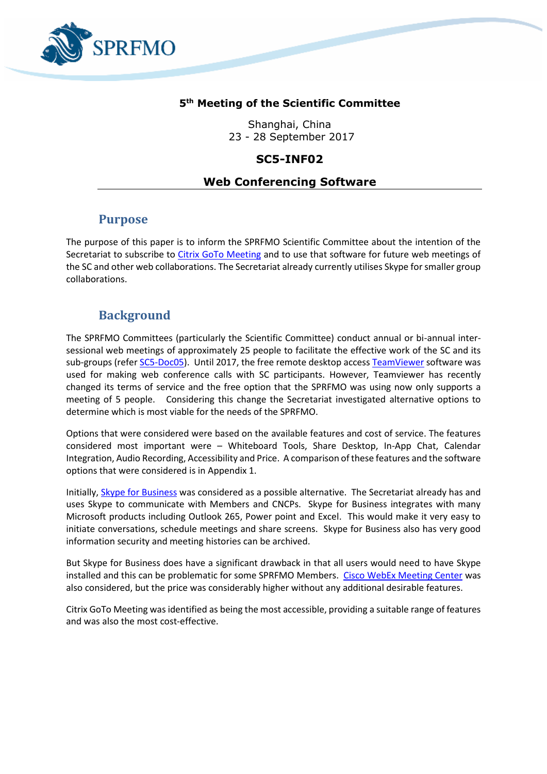

### **5 th Meeting of the Scientific Committee**

Shanghai, China 23 - 28 September 2017

### **SC5-INF02**

## **Web Conferencing Software**

# **Purpose**

The purpose of this paper is to inform the SPRFMO Scientific Committee about the intention of the Secretariat to subscribe to [Citrix GoTo Meeting](https://www.gotomeeting.com/) and to use that software for future web meetings of the SC and other web collaborations. The Secretariat already currently utilises Skype for smaller group collaborations.

# **Background**

The SPRFMO Committees (particularly the Scientific Committee) conduct annual or bi-annual intersessional web meetings of approximately 25 people to facilitate the effective work of the SC and its sub-groups (refer [SC5-Doc05\)](http://www.sprfmo.int/assets/00-SC5-2017/SC5-Doc05-Summary-of-the-July-2017-SC-web-meeting.pdf). Until 2017, the free remote desktop access [TeamViewer](https://www.teamviewer.com/en/download/windows/) software was used for making web conference calls with SC participants. However, Teamviewer has recently changed its terms of service and the free option that the SPRFMO was using now only supports a meeting of 5 people. Considering this change the Secretariat investigated alternative options to determine which is most viable for the needs of the SPRFMO.

Options that were considered were based on the available features and cost of service. The features considered most important were – Whiteboard Tools, Share Desktop, In-App Chat, Calendar Integration, Audio Recording, Accessibility and Price. A comparison of these features and the software options that were considered is in Appendix 1.

Initially, [Skype for Business](https://www.skype.com/en/business/skype-for-business/) was considered as a possible alternative. The Secretariat already has and uses Skype to communicate with Members and CNCPs. Skype for Business integrates with many Microsoft products including Outlook 265, Power point and Excel. This would make it very easy to initiate conversations, schedule meetings and share screens. Skype for Business also has very good information security and meeting histories can be archived.

But Skype for Business does have a significant drawback in that all users would need to have Skype installed and this can be problematic for some SPRFMO Members. [Cisco WebEx Meeting Center](https://www.cisco.com/c/en/us/products/conferencing/webex-meeting-center/index.html) was also considered, but the price was considerably higher without any additional desirable features.

Citrix GoTo Meeting was identified as being the most accessible, providing a suitable range of features and was also the most cost-effective.